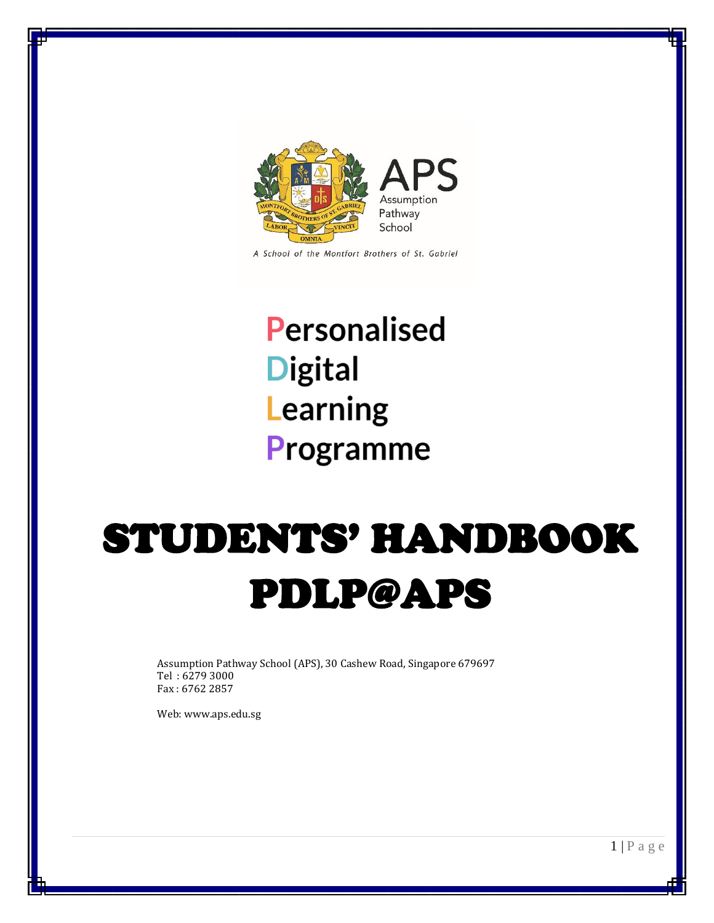

A School of the Montfort Brothers of St. Gabriel

## Personalised **Digital** Learning Programme

# STUDENTS' HANDBOOK PDLP@APS

Assumption Pathway School (APS), 30 Cashew Road, Singapore 679697 Tel : 6279 3000 Fax : 6762 2857

Web: www.aps.edu.sg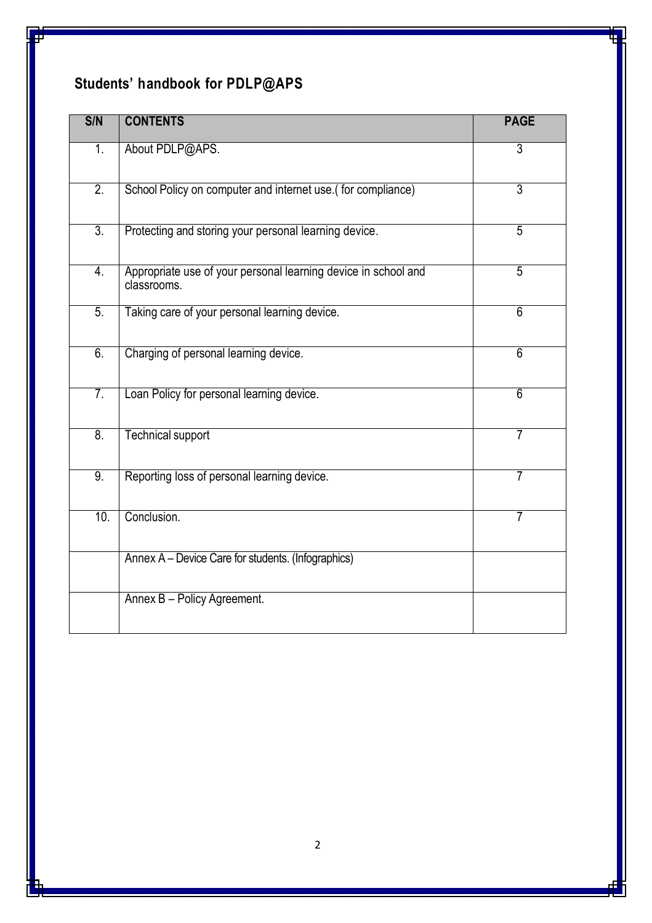## **Students' handbook for PDLP@APS**

| S/N              | <b>CONTENTS</b>                                                               | <b>PAGE</b>    |
|------------------|-------------------------------------------------------------------------------|----------------|
| 1.               | About PDLP@APS.                                                               | $\overline{3}$ |
| $\overline{2}$ . | School Policy on computer and internet use.(for compliance)                   | $\overline{3}$ |
| $\overline{3}$ . | Protecting and storing your personal learning device.                         | $\overline{5}$ |
| $\overline{4}$ . | Appropriate use of your personal learning device in school and<br>classrooms. | $\overline{5}$ |
| $\overline{5}$ . | Taking care of your personal learning device.                                 | $\overline{6}$ |
| 6.               | Charging of personal learning device.                                         | 6              |
| $\overline{7}$ . | Loan Policy for personal learning device.                                     | 6              |
| 8.               | <b>Technical support</b>                                                      | 7              |
| 9.               | Reporting loss of personal learning device.                                   | 7              |
| 10.              | Conclusion.                                                                   | 7              |
|                  | Annex A - Device Care for students. (Infographics)                            |                |
|                  | Annex B - Policy Agreement.                                                   |                |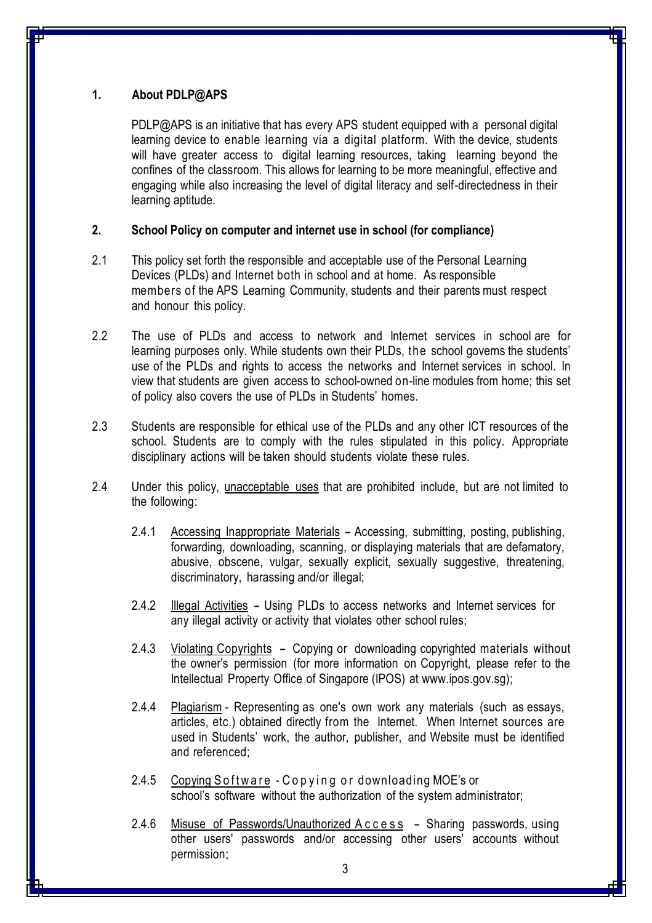### **1. About PDLP@APS**

PDLP@APS is an initiative that has every APS student equipped with a personal digital learning device to enable learning via a digital platform. With the device, students will have greater access to digital learning resources, taking learning beyond the confines of the classroom. This allows for learning to be more meaningful, effective and engaging while also increasing the level of digital literacy and self-directedness in their learning aptitude.

### **2. School Policy on computer and internet use in school (for compliance)**

- 2.1 This policy set forth the responsible and acceptable use of the Personal Learning Devices (PLDs) and Internet both in school and at home. As responsible members of the APS Learning Community, students and their parents must respect and honour this policy.
- 2.2 The use of PLDs and access to network and Internet services in school are for learning purposes only. While students own their PLDs, the school governs the students' use of the PLDs and rights to access the networks and Internet services in school. In view that students are given access to school-owned on-line modules from home; this set of policy also covers the use of PLDs in Students' homes.
- 2.3 Students are responsible for ethical use of the PLDs and any other ICT resources of the school. Students are to comply with the rules stipulated in this policy. Appropriate disciplinary actions will be taken should students violate these rules.
- 2.4 Under this policy, unacceptable uses that are prohibited include, but are not limited to the following:
	- 2.4.1 Accessing Inappropriate Materials Accessing, submitting, posting, publishing, forwarding, downloading, scanning, or displaying materials that are defamatory, abusive, obscene, vulgar, sexually explicit, sexually suggestive, threatening, discriminatory, harassing and/or illegal;
	- 2.4.2 Illegal Activities Using PLDs to access networks and Internet services for any illegal activity or activity that violates other school rules;
	- 2.4.3 Violating Copyrights Copying or downloading copyrighted materials without the owner's permission (for more information on Copyright, please refer to the Intellectual Property Office of Singapore (IPOS) at [www.ipos.gov.sg\)](http://www.ipos.gov.sg/);
	- 2.4.4 Plagiarism Representing as one's own work any materials (such as essays, articles, etc.) obtained directly from the Internet. When Internet sources are used in Students' work, the author, publisher, and Website must be identified and referenced;
	- 2.4.5 Copying Software Copying or downloading MOE's or school's software without the authorization of the system administrator;
	- 2.4.6 Misuse of Passwords/Unauthorized Access Sharing passwords, using other users' passwords and/or accessing other users' accounts without permission;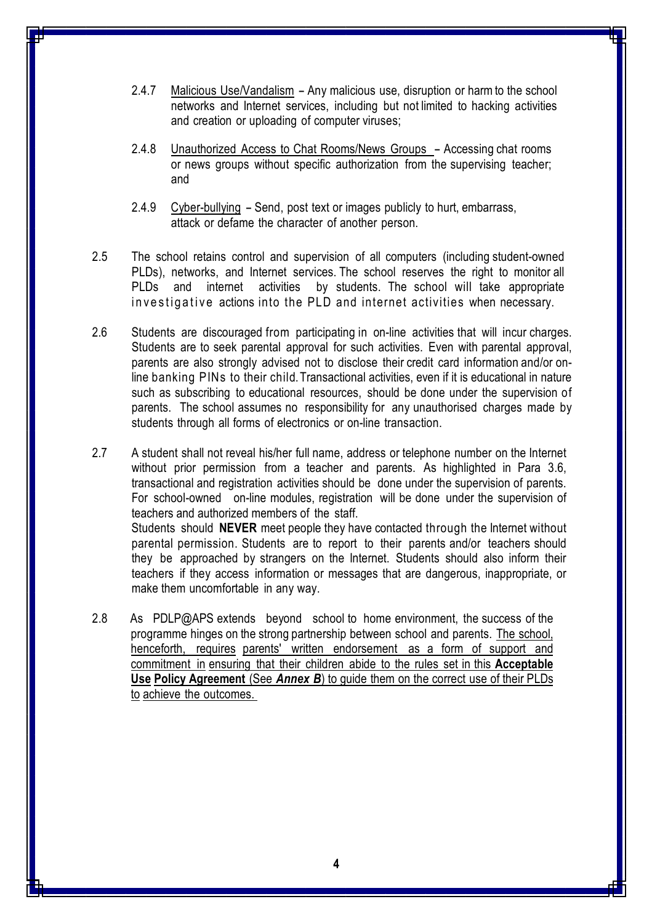- 2.4.7 Malicious Use/Vandalism Any malicious use, disruption or harm to the school networks and Internet services, including but not limited to hacking activities and creation or uploading of computer viruses;
- 2.4.8 Unauthorized Access to Chat Rooms/News Groups Accessing chat rooms or news groups without specific authorization from the supervising teacher; and
- 2.4.9 Cyber-bullying Send, post text or images publicly to hurt, embarrass, attack or defame the character of another person.
- 2.5 The school retains control and supervision of all computers (including student-owned PLDs), networks, and Internet services. The school reserves the right to monitor all PLDs and internet activities by students. The school will take appropriate in vestigative actions into the PLD and internet activities when necessary.
- 2.6 Students are discouraged from participating in on-line activities that will incur charges. Students are to seek parental approval for such activities. Even with parental approval, parents are also strongly advised not to disclose their credit card information and/or online banking PINs to their child. Transactional activities, even if it is educational in nature such as subscribing to educational resources, should be done under the supervision of parents. The school assumes no responsibility for any unauthorised charges made by students through all forms of electronics or on-line transaction.
- 2.7 A student shall not reveal his/her full name, address or telephone number on the Internet without prior permission from a teacher and parents. As highlighted in Para 3.6, transactional and registration activities should be done under the supervision of parents. For school-owned on-line modules, registration will be done under the supervision of teachers and authorized members of the staff. Students should **NEVER** meet people they have contacted through the Internet without parental permission. Students are to report to their parents and/or teachers should they be approached by strangers on the Internet. Students should also inform their teachers if they access information or messages that are dangerous, inappropriate, or make them uncomfortable in any way.
- 2.8 As PDLP@APS extends beyond school to home environment, the success of the programme hinges on the strong partnership between school and parents. The school, henceforth, requires parents' written endorsement as a form of support and commitment in ensuring that their children abide to the rules set in this **Acceptable Use Policy Agreement** (See *Annex B*) to guide them on the correct use of their PLDs to achieve the outcomes.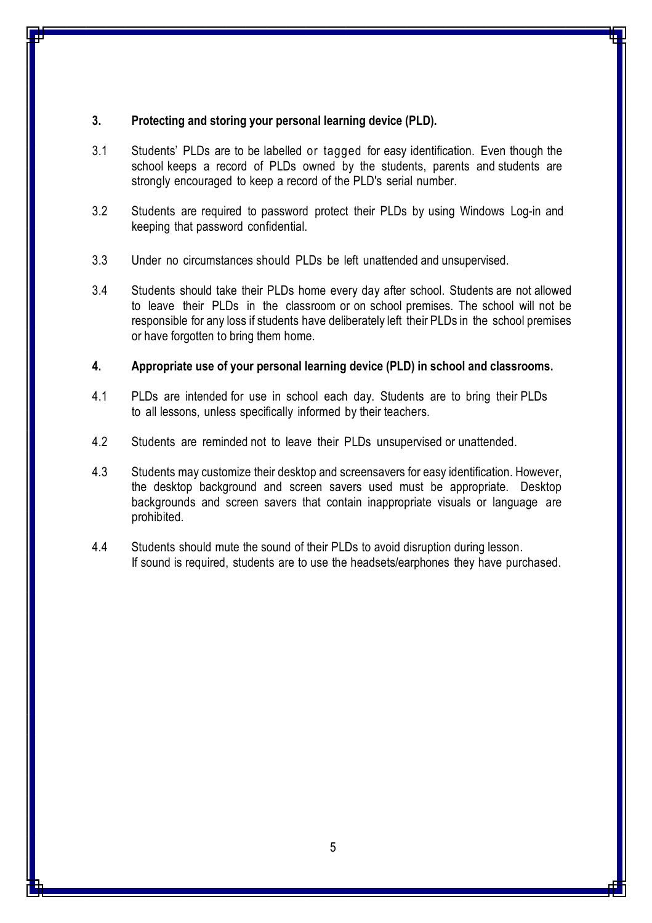#### **3. Protecting and storing your personal learning device (PLD).**

- 3.1 Students' PLDs are to be labelled or tagged for easy identification. Even though the school keeps a record of PLDs owned by the students, parents and students are strongly encouraged to keep a record of the PLD's serial number.
- 3.2 Students are required to password protect their PLDs by using Windows Log-in and keeping that password confidential.
- 3.3 Under no circumstances should PLDs be left unattended and unsupervised.
- 3.4 Students should take their PLDs home every day after school. Students are not allowed to leave their PLDs in the classroom or on school premises. The school will not be responsible for any loss if students have deliberately left their PLDs in the school premises or have forgotten to bring them home.

#### **4. Appropriate use of your personal learning device (PLD) in school and classrooms.**

- 4.1 PLDs are intended for use in school each day. Students are to bring their PLDs to all lessons, unless specifically informed by their teachers.
- 4.2 Students are reminded not to leave their PLDs unsupervised or unattended.
- 4.3 Students may customize their desktop and screensavers for easy identification. However, the desktop background and screen savers used must be appropriate. Desktop backgrounds and screen savers that contain inappropriate visuals or language are prohibited.
- 4.4 Students should mute the sound of their PLDs to avoid disruption during lesson. If sound is required, students are to use the headsets/earphones they have purchased.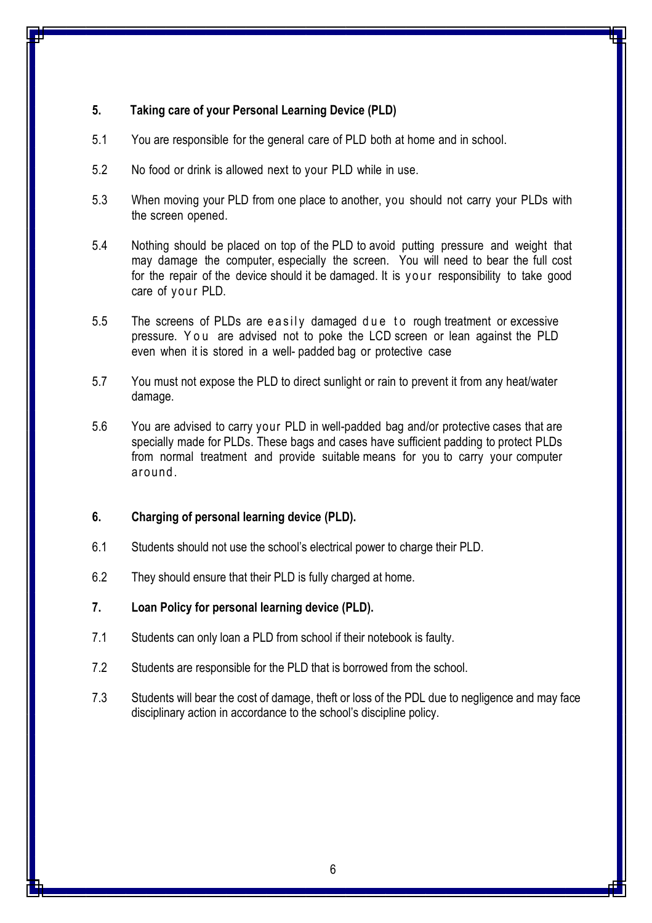### **5. Taking care of your Personal Learning Device (PLD)**

- 5.1 You are responsible for the general care of PLD both at home and in school.
- 5.2 No food or drink is allowed next to your PLD while in use.
- 5.3 When moving your PLD from one place to another, you should not carry your PLDs with the screen opened.
- 5.4 Nothing should be placed on top of the PLD to avoid putting pressure and weight that may damage the computer, especially the screen. You will need to bear the full cost for the repair of the device should it be damaged. It is your responsibility to take good care of your PLD.
- 5.5 The screens of PLDs are easily damaged due to rough treatment or excessive pressure. You are advised not to poke the LCD screen or lean against the PLD even when it is stored in a well- padded bag or protective case
- 5.7 You must not expose the PLD to direct sunlight or rain to prevent it from any heat/water damage.
- 5.6 You are advised to carry your PLD in well-padded bag and/or protective cases that are specially made for PLDs. These bags and cases have sufficient padding to protect PLDs from normal treatment and provide suitable means for you to carry your computer around.

### **6. Charging of personal learning device (PLD).**

- 6.1 Students should not use the school's electrical power to charge their PLD.
- 6.2 They should ensure that their PLD is fully charged at home.

#### **7. Loan Policy for personal learning device (PLD).**

- 7.1 Students can only loan a PLD from school if their notebook is faulty.
- 7.2 Students are responsible for the PLD that is borrowed from the school.
- 7.3 Students will bear the cost of damage, theft or loss of the PDL due to negligence and may face disciplinary action in accordance to the school's discipline policy.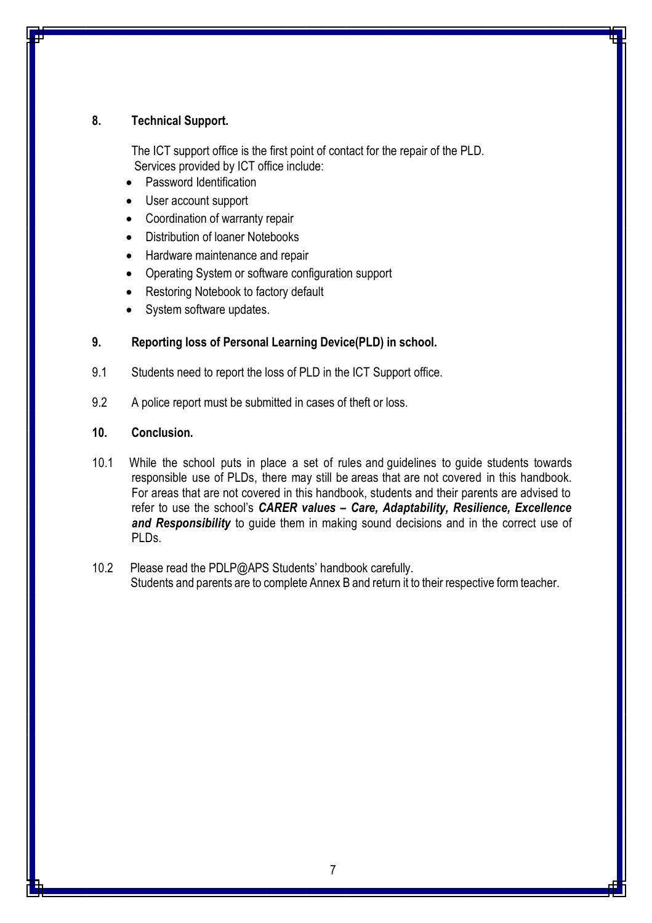#### **8. Technical Support.**

The ICT support office is the first point of contact for the repair of the PLD. Services provided by ICT office include:

- Password Identification
- User account support
- Coordination of warranty repair
- Distribution of loaner Notebooks
- **Hardware maintenance and repair**
- Operating System or software configuration support
- Restoring Notebook to factory default
- System software updates.

#### **9. Reporting loss of Personal Learning Device(PLD) in school.**

- 9.1 Students need to report the loss of PLD in the ICT Support office.
- 9.2 A police report must be submitted in cases of theft or loss.

#### **10. Conclusion.**

- 10.1 While the school puts in place a set of rules and guidelines to guide students towards responsible use of PLDs, there may still be areas that are not covered in this handbook. For areas that are not covered in this handbook, students and their parents are advised to refer to use the school's *CARER values – Care, Adaptability, Resilience, Excellence*  and Responsibility to guide them in making sound decisions and in the correct use of PLDs.
- 10.2 Please read the PDLP@APS Students' handbook carefully. Students and parents are to complete Annex B and return it to their respective form teacher.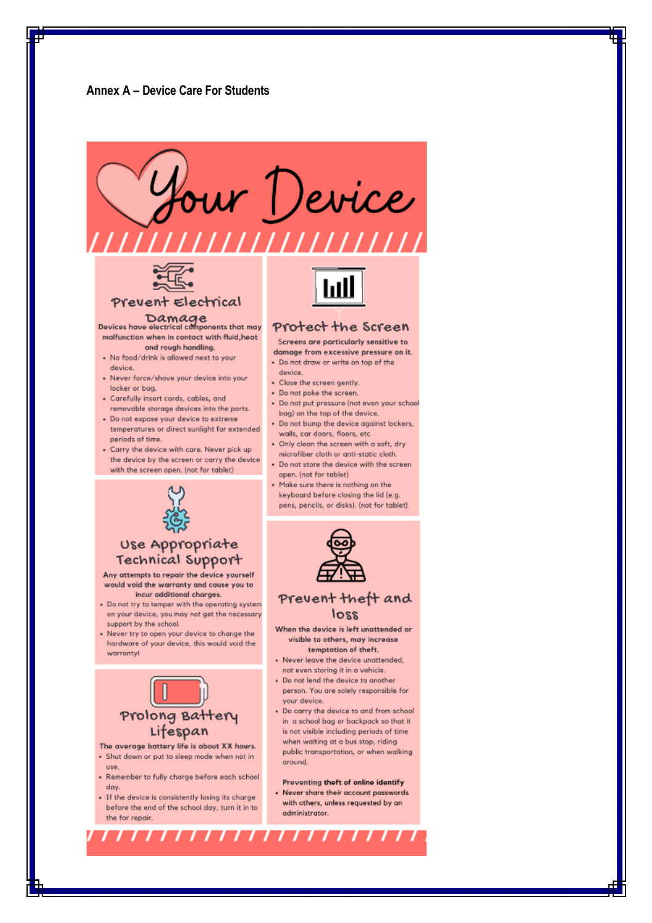

Prevent Electrical

Damage<br>Devices have electrical components that may malfunction when in contact with fluid, heat and rough handling.

- . No food/drink is allowed next to your device.
- · Never force/shove your device into your locker or bag.
- · Carefully insert cords, cables, and removable storage devices into the ports.
- · Do not expose your device to extreme temperatures or direct sunlight for extended periods of time
- Carry the device with care. Never pick up the device by the screen or carry the device with the screen open. (not for tablet)

#### Protect the Screen

- Screens are particularly sensitive to
- damage from excessive pressure on it. . Do not draw or write on top of the
- device
- · Close the screen gently.
- Do not poke the screen.
- · Do not put pressure (not even your school bag) on the top of the device
- . Do not bump the device against lockers, walls, car doors, floors, etc
- . Only clean the screen with a soft, dry microfiber cloth or anti-static cloth.
- Do not store the device with the screen open. (not for tablet)
- . Make sure there is nothing on the keyboard before closing the lid (e.g. pens, pencils, or disks). (not for tablet)



#### Prevent theft and loss

- When the device is left unattended or visible to others, may increase temptation of theft.
- · Never leave the device unattended, not even storing it in a vehicle
- Do not lend the device to another person. You are solely responsible for your device.
- Do carry the device to and from school in a school bag or backpack so that it is not visible including periods of time when waiting at a bus stop, riding public transportation, or when walking around.

#### Preventing theft of online identify

- Never share their account passwords with others, unless requested by an administrator.



#### Use Appropriate Technical Support

Any attempts to repair the device yourself would void the warranty and cause you to incur additional charges.

- Do not try to temper with the operating system on your device, you may not get the necessary support by the school.
- Never try to open your device to change the hardware of your device, this would void the warrantyl



- The average battery life is about XX hours. · Shut down or put to sleep mode when not in
- use.
- Remember to fully charge before each school day.
- · If the device is consistently losing its charge before the end of the school day, turn it in to the for repair.

,,,,,,,,,,,,,,,,,,,,,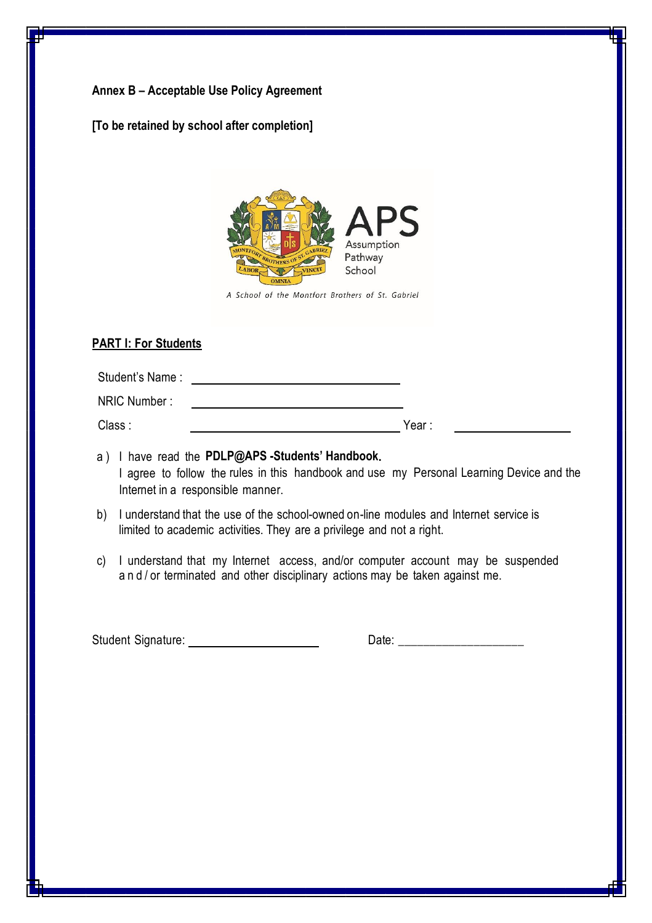### **Annex B – Acceptable Use Policy Agreement**



A School of the Montfort Brothers of St. Gabriel

#### **PART I: For Students**

| Student's Name: |       |
|-----------------|-------|
| NRIC Number:    |       |
| Class:          | Year: |

- a ) I have read the **PDLP@APS -Students' Handbook.** I agree to follow the rules in this handbook and use my Personal Learning Device and the Internet in a responsible manner.
- b) I understand that the use of the school-owned on-line modules and Internet service is limited to academic activities. They are a privilege and not a right.
- c) I understand that my Internet access, and/or computer account may be suspended and/ or terminated and other disciplinary actions may be taken against me.

Student Signature: Date: \_\_\_\_\_\_\_\_\_\_\_\_\_\_\_\_\_\_\_\_